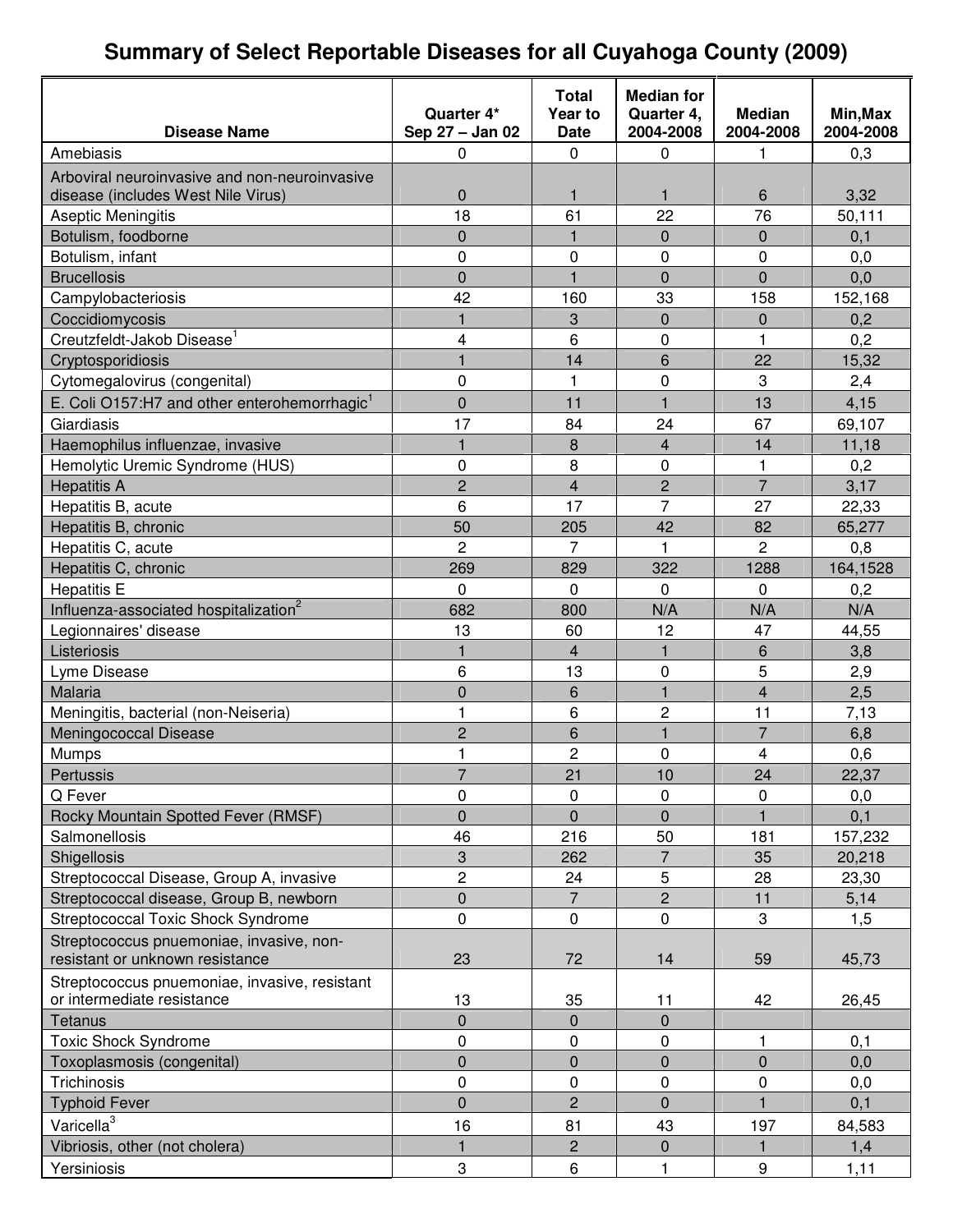# **Summary of Select Reportable Diseases for all Cuyahoga County (2009)**

|                                                          |                               | <b>Total</b>           | <b>Median for</b>       |                            |                       |
|----------------------------------------------------------|-------------------------------|------------------------|-------------------------|----------------------------|-----------------------|
| <b>Disease Name</b>                                      | Quarter 4*<br>Sep 27 - Jan 02 | Year to<br><b>Date</b> | Quarter 4,<br>2004-2008 | <b>Median</b><br>2004-2008 | Min, Max<br>2004-2008 |
| Amebiasis                                                | 0                             | 0                      | 0                       | 1                          | 0,3                   |
| Arboviral neuroinvasive and non-neuroinvasive            |                               |                        |                         |                            |                       |
| disease (includes West Nile Virus)                       | 0                             | 1                      | 1                       | 6                          | 3,32                  |
| Aseptic Meningitis                                       | 18                            | 61                     | 22                      | 76                         | 50,111                |
| Botulism, foodborne                                      | 0                             | $\mathbf{1}$           | $\mathbf 0$             | 0                          | 0,1                   |
| Botulism, infant                                         | 0                             | 0                      | 0                       | 0                          | 0,0                   |
| <b>Brucellosis</b>                                       | 0                             | $\mathbf{1}$           | $\overline{0}$          | $\overline{0}$             | 0,0                   |
| Campylobacteriosis                                       | 42                            | 160                    | 33                      | 158                        | 152,168               |
| Coccidiomycosis                                          | 1                             | 3                      | $\Omega$                | 0                          | 0,2                   |
| Creutzfeldt-Jakob Disease <sup>1</sup>                   | 4                             | 6                      | 0                       | 1                          | 0,2                   |
| Cryptosporidiosis                                        | $\mathbf{1}$                  | 14                     | 6                       | 22                         | 15,32                 |
| Cytomegalovirus (congenital)                             | 0                             | $\mathbf{1}$           | 0                       | 3                          | 2,4                   |
| E. Coli O157:H7 and other enterohemorrhagic <sup>1</sup> | $\overline{0}$                | 11                     | $\mathbf{1}$            | 13                         | 4,15                  |
| Giardiasis                                               | 17                            | 84                     | 24                      | 67                         | 69,107                |
| Haemophilus influenzae, invasive                         | $\mathbf{1}$                  | 8                      | 4                       | 14                         | 11,18                 |
| Hemolytic Uremic Syndrome (HUS)                          | 0                             | 8                      | 0                       | 1                          | 0,2                   |
| <b>Hepatitis A</b>                                       | $\overline{c}$                | $\overline{4}$         | $\overline{c}$          | $\overline{7}$             | 3,17                  |
| Hepatitis B, acute                                       | 6                             | 17                     | $\overline{7}$          | 27                         | 22,33                 |
| Hepatitis B, chronic                                     | 50                            | 205                    | 42                      | 82                         | 65,277                |
| Hepatitis C, acute                                       | $\overline{2}$                | $\overline{7}$         | 1                       | 2                          | 0,8                   |
| Hepatitis C, chronic                                     | 269                           | 829                    | 322                     | 1288                       | 164,1528              |
| <b>Hepatitis E</b>                                       | 0                             | 0                      | 0                       | $\Omega$                   | 0,2                   |
| Influenza-associated hospitalization <sup>2</sup>        | 682                           | 800                    | N/A                     | N/A                        | N/A                   |
| Legionnaires' disease                                    | 13                            | 60                     | 12                      | 47                         | 44,55                 |
| Listeriosis                                              | $\mathbf{1}$                  | $\overline{4}$         | $\mathbf{1}$            | 6                          | 3,8                   |
| Lyme Disease                                             | 6                             | 13                     | 0                       | 5                          | 2,9                   |
| Malaria                                                  | $\overline{0}$                | 6                      | $\mathbf{1}$            | 4                          | 2,5                   |
| Meningitis, bacterial (non-Neiseria)                     | $\mathbf{1}$                  | 6                      | $\overline{c}$          | 11                         | 7,13                  |
| Meningococcal Disease                                    | $\overline{c}$                | 6                      | $\mathbf{1}$            | $\overline{7}$             | 6,8                   |
| <b>Mumps</b>                                             | 1                             | $\overline{c}$         | 0                       | 4                          | 0,6                   |
| Pertussis                                                | $\overline{7}$                | 21                     | 10                      | 24                         | 22,37                 |
| Q Fever                                                  | 0                             | 0                      | 0                       | 0                          | 0,0                   |
| Rocky Mountain Spotted Fever (RMSF)                      | $\overline{0}$                | $\Omega$               | $\mathbf 0$             |                            | 0,1                   |
| Salmonellosis                                            | 46                            | 216                    | 50                      | 181                        | 157,232               |
| Shigellosis                                              | 3                             | 262                    | $\overline{7}$          | 35                         | 20,218                |
| Streptococcal Disease, Group A, invasive                 | $\overline{c}$                | 24                     | 5                       | 28                         | 23,30                 |
| Streptococcal disease, Group B, newborn                  | 0                             | $\overline{7}$         | $\overline{2}$          | 11                         | 5,14                  |
| Streptococcal Toxic Shock Syndrome                       | 0                             | 0                      | $\pmb{0}$               | 3                          | 1,5                   |
| Streptococcus pnuemoniae, invasive, non-                 |                               |                        |                         |                            |                       |
| resistant or unknown resistance                          | 23                            | 72                     | 14                      | 59                         | 45,73                 |
| Streptococcus pnuemoniae, invasive, resistant            |                               |                        |                         |                            |                       |
| or intermediate resistance                               | 13                            | 35                     | 11                      | 42                         | 26,45                 |
| Tetanus                                                  | 0                             | $\overline{0}$         | $\overline{0}$          |                            |                       |
| <b>Toxic Shock Syndrome</b>                              | 0                             | $\pmb{0}$              | 0                       | 1                          | 0,1                   |
| Toxoplasmosis (congenital)                               | 0                             | 0                      | $\pmb{0}$               | $\pmb{0}$                  | 0,0                   |
| Trichinosis                                              | 0                             | 0                      | $\pmb{0}$               | 0                          | 0,0                   |
| <b>Typhoid Fever</b>                                     | $\overline{0}$                | $\overline{2}$         | $\overline{0}$          | $\mathbf{1}$               | 0,1                   |
| Varicella <sup>3</sup>                                   | 16                            | 81                     | 43                      | 197                        | 84,583                |
| Vibriosis, other (not cholera)                           | 1                             | $\overline{c}$         | 0                       | 1                          | 1,4                   |
| Yersiniosis                                              | 3                             | 6                      | 1                       | $\boldsymbol{9}$           | 1,11                  |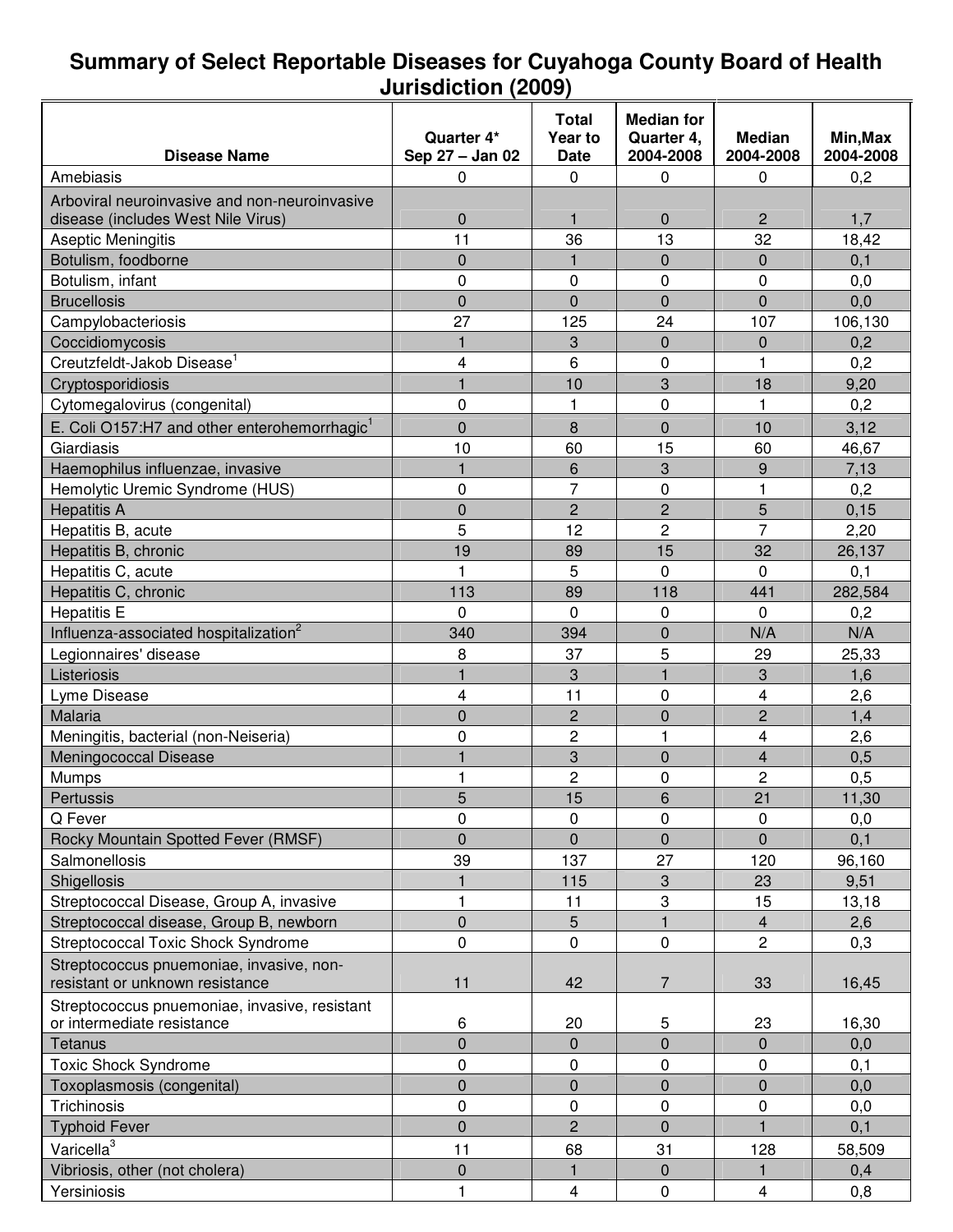#### **Summary of Select Reportable Diseases for Cuyahoga County Board of Health Jurisdiction (2009)**

|                                                          |                         | Total          | <b>Median for</b> |                |           |
|----------------------------------------------------------|-------------------------|----------------|-------------------|----------------|-----------|
|                                                          | Quarter 4*              | Year to        | Quarter 4,        | <b>Median</b>  | Min, Max  |
| <b>Disease Name</b>                                      | Sep 27 - Jan 02         | Date           | 2004-2008         | 2004-2008      | 2004-2008 |
| Amebiasis                                                | 0                       | 0              | $\mathbf 0$       | 0              | 0,2       |
| Arboviral neuroinvasive and non-neuroinvasive            |                         |                |                   |                |           |
| disease (includes West Nile Virus)                       | $\mathbf 0$             | $\mathbf{1}$   | 0                 | $\overline{c}$ | 1,7       |
| Aseptic Meningitis                                       | 11                      | 36             | 13                | 32             | 18,42     |
| Botulism, foodborne                                      | $\mathbf 0$             | $\mathbf{1}$   | $\overline{0}$    | $\mathbf 0$    | 0,1       |
| Botulism, infant                                         | 0                       | 0              | 0                 | 0              | 0,0       |
| <b>Brucellosis</b>                                       | $\mathbf 0$             | $\overline{0}$ | $\overline{0}$    | $\overline{0}$ | 0,0       |
| Campylobacteriosis                                       | 27                      | 125            | 24                | 107            | 106,130   |
| Coccidiomycosis                                          | 1                       | 3              | 0                 | $\mathbf{0}$   | 0,2       |
| Creutzfeldt-Jakob Disease <sup>1</sup>                   | 4                       | 6              | 0                 | 1              | 0,2       |
| Cryptosporidiosis                                        |                         | 10             | 3                 | 18             | 9,20      |
| Cytomegalovirus (congenital)                             | 0                       | 1              | 0                 | 1              | 0,2       |
| E. Coli O157:H7 and other enterohemorrhagic <sup>1</sup> | $\overline{0}$          | 8              | $\overline{0}$    | 10             | 3,12      |
| Giardiasis                                               | 10                      | 60             | 15                | 60             | 46,67     |
| Haemophilus influenzae, invasive                         | 1                       | 6              | 3                 | 9              | 7,13      |
| Hemolytic Uremic Syndrome (HUS)                          | $\mathbf 0$             | $\overline{7}$ | 0                 | 1              | 0,2       |
| <b>Hepatitis A</b>                                       | $\overline{0}$          | $\overline{2}$ | $\overline{2}$    | 5              | 0, 15     |
| Hepatitis B, acute                                       | 5                       | 12             | $\overline{c}$    | $\overline{7}$ | 2,20      |
| Hepatitis B, chronic                                     | 19                      | 89             | 15                | 32             | 26,137    |
| Hepatitis C, acute                                       | 1                       | 5              | $\mathbf 0$       | $\Omega$       | 0,1       |
| Hepatitis C, chronic                                     | 113                     | 89             | 118               | 441            | 282,584   |
| <b>Hepatitis E</b>                                       | $\Omega$                | 0              | 0                 | $\Omega$       | 0,2       |
| Influenza-associated hospitalization <sup>2</sup>        | 340                     | 394            | $\overline{0}$    | N/A            | N/A       |
| Legionnaires' disease                                    | 8                       | 37             | 5                 | 29             | 25,33     |
| Listeriosis                                              | $\overline{\mathbf{1}}$ | 3              | $\mathbf{1}$      | 3              | 1,6       |
| Lyme Disease                                             | 4                       | 11             | 0                 | 4              | 2,6       |
| Malaria                                                  | $\overline{0}$          | 2              | $\overline{0}$    | $\overline{c}$ | 1,4       |
| Meningitis, bacterial (non-Neiseria)                     | 0                       | $\overline{c}$ | 1                 | 4              | 2,6       |
| Meningococcal Disease                                    |                         | 3              | $\overline{0}$    | $\overline{4}$ | 0,5       |
| Mumps                                                    |                         | 2              | 0                 | 2              | 0,5       |
| Pertussis                                                | 5                       | 15             | 6                 | 21             | 11,30     |
| Q Fever                                                  | 0                       | 0              | $\mathbf 0$       | $\Omega$       | 0,0       |
| Rocky Mountain Spotted Fever (RMSF)                      | $\mathbf 0$             | 0              | 0                 | $\Omega$       | 0,1       |
| Salmonellosis                                            | 39                      | 137            | 27                | 120            | 96,160    |
| Shigellosis                                              |                         | 115            | 3                 | 23             | 9,51      |
| Streptococcal Disease, Group A, invasive                 | 1                       | 11             | 3                 | 15             | 13,18     |
| Streptococcal disease, Group B, newborn                  | $\mathbf 0$             | 5              | $\mathbf{1}$      | $\overline{4}$ | 2,6       |
| Streptococcal Toxic Shock Syndrome                       | 0                       | 0              | 0                 | $\overline{c}$ | 0,3       |
| Streptococcus pnuemoniae, invasive, non-                 |                         |                |                   |                |           |
| resistant or unknown resistance                          | 11                      | 42             | 7                 | 33             | 16,45     |
| Streptococcus pnuemoniae, invasive, resistant            |                         |                |                   |                |           |
| or intermediate resistance                               | 6                       | 20             | 5                 | 23             | 16,30     |
| <b>Tetanus</b>                                           | $\overline{0}$          | $\overline{0}$ | $\overline{0}$    | $\mathbf 0$    | 0,0       |
| <b>Toxic Shock Syndrome</b>                              | 0                       | 0              | 0                 | 0              | 0,1       |
| Toxoplasmosis (congenital)                               | $\pmb{0}$               | $\overline{0}$ | $\overline{0}$    | $\mathbf 0$    | 0,0       |
| Trichinosis                                              | 0                       | 0              | 0                 | 0              | 0,0       |
| <b>Typhoid Fever</b>                                     | $\pmb{0}$               | $\overline{c}$ | $\overline{0}$    | $\blacksquare$ | 0,1       |
| Varicella <sup>3</sup>                                   | 11                      | 68             | 31                | 128            | 58,509    |
| Vibriosis, other (not cholera)                           | $\pmb{0}$               | $\mathbf{1}$   | $\overline{0}$    | $\mathbf{1}$   | 0,4       |
| Yersiniosis                                              |                         | 4              | $\mathbf 0$       | $\overline{4}$ | 0,8       |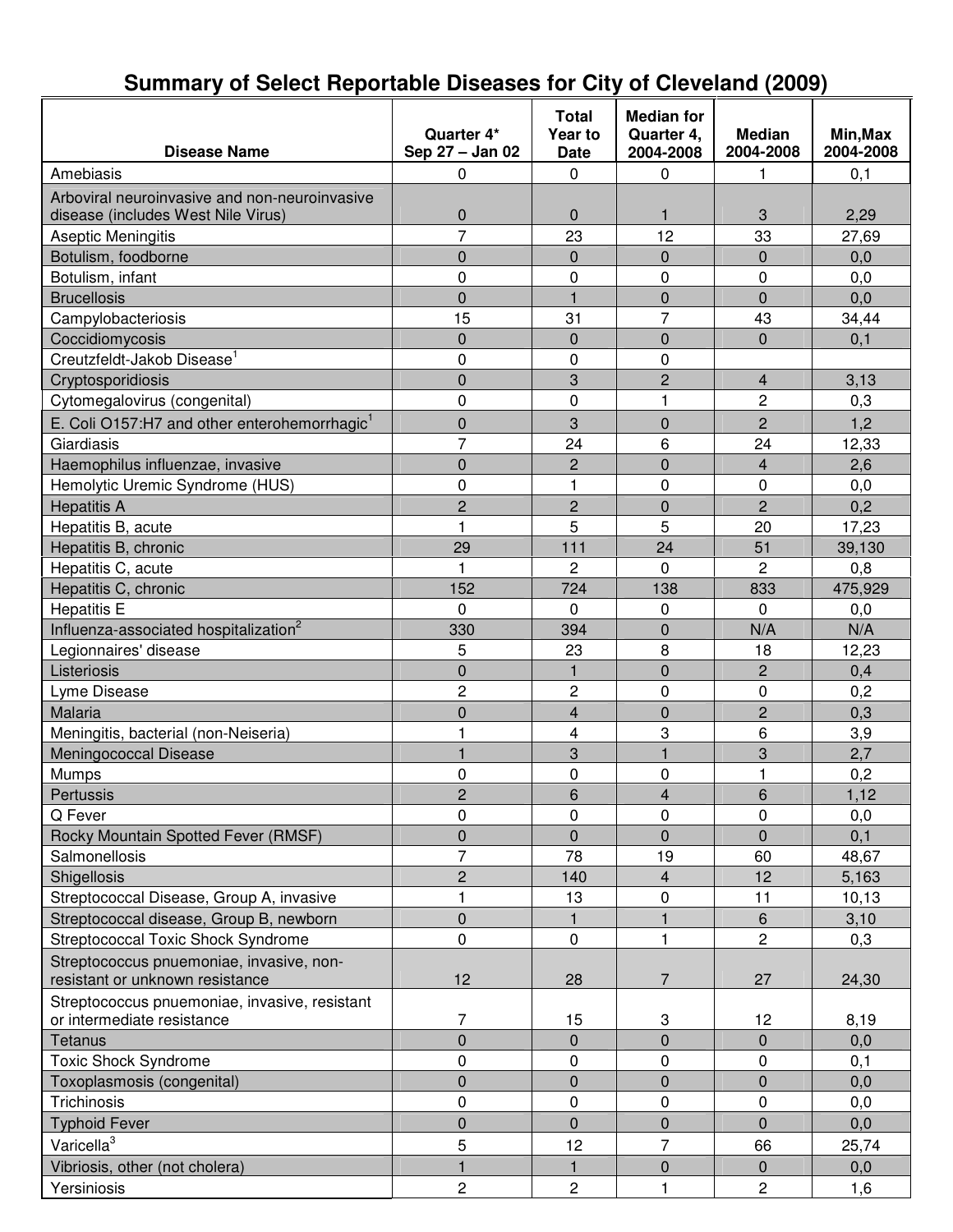#### **Disease Name Quarter 4\* Sep 27 – Jan 02 Total Year to Date Median for Quarter 4, 2004-2008 Median 2004-2008 Min,Max 2004-2008** Amebiasis | 0 | 0 | 0 | 1 | 0,1 Arboviral neuroinvasive and non-neuroinvasive disease (includes West Nile Virus) 0 0 1 3 2,29 Aseptic Meningitis **Aseptic Meningitis 12 12 12 12 12 43** 27,69 Botulism, foodborne **1** 0 0 0 0 0 0 0 0,0 Botulism, infant | 0 | 0 | 0 | 0,0 Brucellosis 0 1 0 0 0,0 Campylobacteriosis 15 31 7 43 34,44 Coccidiomycosis 0 0 0 0 0,1 Creutzfeldt-Jakob Disease 1 0 0 0 Cryptosporidiosis 0 3 2 4 3,13 Cytomegalovirus (congenital) 0 0 1 2 0,3 E. Coli O157:H7 and other enterohemorrhagic<sup>1</sup> 0 3 0 2 1,2 Giardiasis 7 24 6 24 12,33 Haemophilus influenzae, invasive 0 2 0 4 2,6 Hemolytic Uremic Syndrome (HUS)  $\begin{array}{cccc} | & 0 & 1 & 0 \\ \end{array}$  1 0 0 0,0 Hepatitis A | 2 | 2 | 0 | 2 | 0,2 Hepatitis B, acute 1 5 5 20 17,23 Hepatitis B, chronic 20 29 111 24 51 39,130 Hepatitis C, acute 1 1 1 2 0 2 0,8 Hepatitis C, chronic 152 152 1724 138 833 475,929 Hepatitis E 0 0 0 0,0 Influenza-associated hospitalization 2 330 394 0 N/A N/A Legionnaires' disease 5 23 8 18 12,23 Listeriosis 0 1 0 2 0,4 Lyme Disease 2 2 2 2 0 0 0,2 Malaria 0 4 0 2 0,3 Meningitis, bacterial (non-Neiseria) 1 1 4 3 6 3,9 Meningococcal Disease 1 3 1 3 1 3 3 3 2,7 Mumps 0 0 0 1 0,2 Pertussis 2 6 | 2 | 6 | 4 | 6 | 1,12 Q Fever 0 0 0 0 0,0 Rocky Mountain Spotted Fever (RMSF) 0 0 0 0 0 0,1 Salmonellosis 7 78 19 60 48,67 Shigellosis 2 140 4 12 5,163 Streptococcal Disease, Group A, invasive | 1 1 | 13 | 0 | 11 | 10,13 Streptococcal disease, Group B, newborn 0 1 1 6 3,10 Streptococcal Toxic Shock Syndrome 0 0 1 2 0,3 Streptococcus pnuemoniae, invasive, nonresistant or unknown resistance  $\vert$  12  $\vert$  28  $\vert$  7  $\vert$  27  $\vert$  24,30 Streptococcus pnuemoniae, invasive, resistant or intermediate resistance 7 15 3 12 8,19 Tetanus 0 0 0 0 0,0 Toxic Shock Syndrome **1** 0 0 0 0 0 0,1 Toxoplasmosis (congenital) and the control of the control of the control of the control of the control of the control of the control of the control of the control of the control of the control of the control of the control Trichinosis | 0 | 0 | 0 | 0,0 0,0 Typhoid Fever 0 0 0 0 0,0 Varicella<sup>3</sup> 5 12 7 66 25,74 Vibriosis, other (not cholera)  $\begin{array}{|c|c|c|c|c|c|c|c|c|c|c|} \hline \end{array}$  1 0 0 0 0,0 Yersiniosis | 2 | 2 | 1 2 | 1,6

### **Summary of Select Reportable Diseases for City of Cleveland (2009)**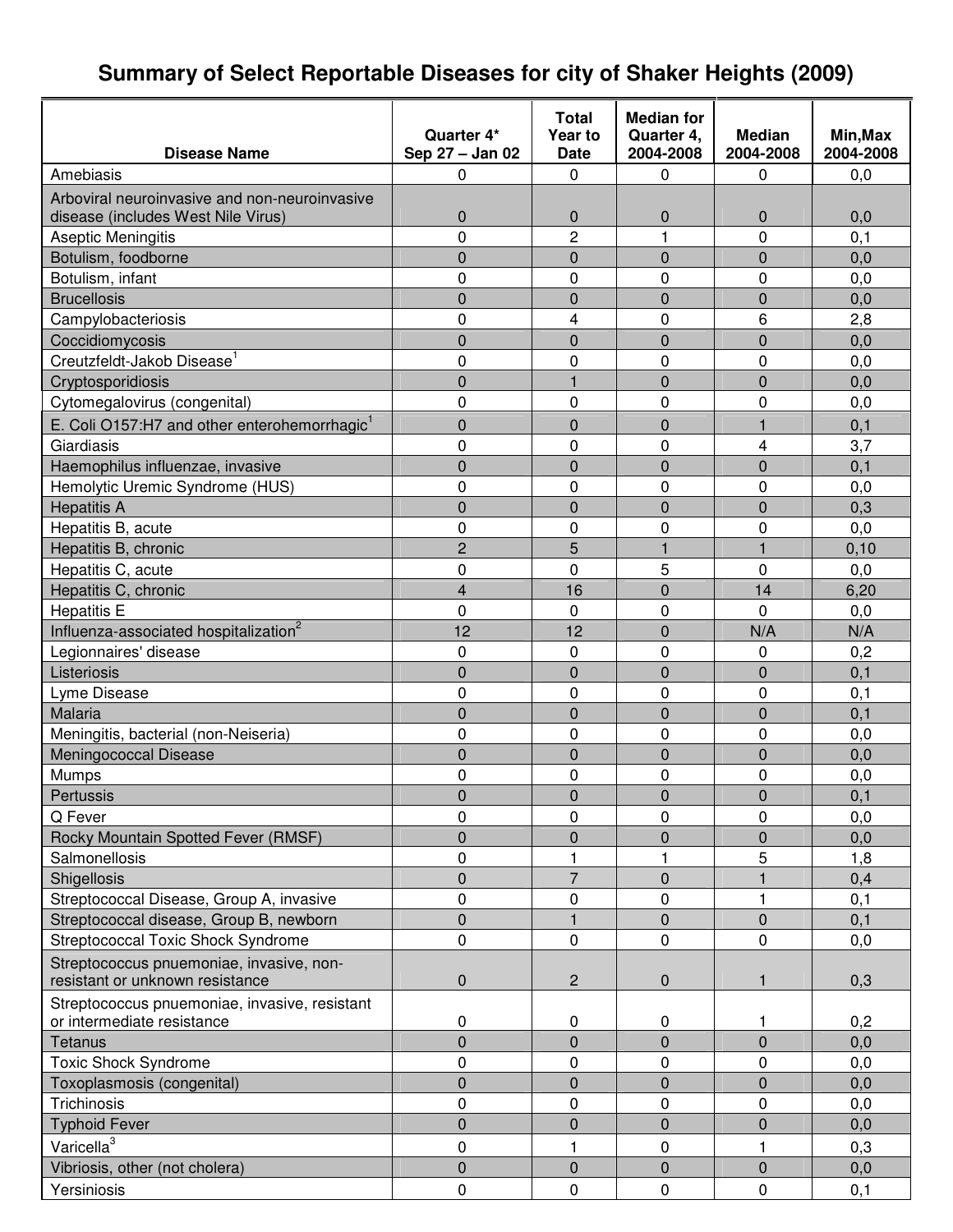# **Summary of Select Reportable Diseases for city of Shaker Heights (2009)**

| <b>Disease Name</b>                                                         | Quarter 4*<br>Sep 27 - Jan 02 | Total<br>Year to<br><b>Date</b> | <b>Median for</b><br>Quarter 4,<br>2004-2008 | <b>Median</b><br>2004-2008 | Min, Max<br>2004-2008 |
|-----------------------------------------------------------------------------|-------------------------------|---------------------------------|----------------------------------------------|----------------------------|-----------------------|
| Amebiasis                                                                   | 0                             | $\Omega$                        | 0                                            | 0                          | 0,0                   |
|                                                                             |                               |                                 |                                              |                            |                       |
| Arboviral neuroinvasive and non-neuroinvasive                               |                               |                                 |                                              |                            |                       |
| disease (includes West Nile Virus)                                          | $\mathbf 0$<br>0              | $\mathbf 0$<br>$\overline{2}$   | $\mathbf 0$<br>1                             | $\mathbf 0$                | 0,0                   |
| Aseptic Meningitis                                                          |                               |                                 |                                              | 0                          | 0, 1                  |
| Botulism, foodborne                                                         | 0                             | $\overline{0}$                  | $\mathbf 0$                                  | $\overline{0}$             | 0,0                   |
| Botulism, infant                                                            | 0                             | 0                               | $\mathbf 0$                                  | 0                          | 0,0                   |
| <b>Brucellosis</b>                                                          | 0                             | $\overline{0}$                  | $\overline{0}$                               | 0                          | 0,0                   |
| Campylobacteriosis                                                          | 0                             | 4                               | $\mathbf 0$                                  | 6                          | 2,8                   |
| Coccidiomycosis                                                             | $\overline{0}$                | $\overline{0}$                  | $\overline{0}$                               | $\overline{0}$             | 0,0                   |
| Creutzfeldt-Jakob Disease <sup>1</sup>                                      | 0                             | 0                               | $\mathbf 0$                                  | 0                          | 0,0                   |
| Cryptosporidiosis                                                           | 0                             | $\mathbf{1}$                    | $\mathbf 0$                                  | 0                          | 0,0                   |
| Cytomegalovirus (congenital)                                                | 0                             | 0                               | $\mathbf 0$                                  | 0                          | 0,0                   |
| E. Coli O157:H7 and other enterohemorrhagic <sup>1</sup>                    | 0                             | 0                               | $\mathbf 0$                                  | 1                          | 0,1                   |
| Giardiasis                                                                  | 0                             | $\Omega$                        | $\mathbf{0}$                                 | 4                          | 3,7                   |
| Haemophilus influenzae, invasive                                            | 0                             | $\overline{0}$                  | $\overline{0}$                               | $\overline{0}$             | 0,1                   |
| Hemolytic Uremic Syndrome (HUS)                                             | 0                             | 0                               | $\mathbf 0$                                  | 0                          | 0,0                   |
| <b>Hepatitis A</b>                                                          | 0                             | 0                               | $\mathbf 0$                                  | $\mathbf 0$                | 0,3                   |
| Hepatitis B, acute                                                          | 0                             | 0                               | $\mathbf 0$                                  | 0                          | 0,0                   |
| Hepatitis B, chronic                                                        | $\overline{2}$                | 5                               | 1                                            | $\mathbf{1}$               | 0,10                  |
| Hepatitis C, acute                                                          | 0                             | 0                               | 5                                            | 0                          | 0,0                   |
| Hepatitis C, chronic                                                        | $\overline{4}$                | 16                              | $\overline{0}$                               | 14                         | 6,20                  |
| <b>Hepatitis E</b>                                                          | 0                             | 0                               | $\mathbf 0$                                  | $\Omega$                   | 0,0                   |
| Influenza-associated hospitalization <sup>2</sup>                           | 12                            | 12                              | $\mathbf 0$                                  | N/A                        | N/A                   |
| Legionnaires' disease                                                       | 0                             | 0                               | $\mathbf 0$                                  | 0                          | 0,2                   |
| Listeriosis                                                                 | 0                             | $\overline{0}$                  | $\overline{0}$                               | 0                          | 0,1                   |
| Lyme Disease                                                                | 0                             | 0                               | $\mathbf 0$                                  | 0                          | 0,1                   |
| Malaria                                                                     | $\overline{0}$                | $\overline{0}$                  | $\overline{0}$                               | $\overline{0}$             | 0,1                   |
| Meningitis, bacterial (non-Neiseria)                                        | 0                             | 0                               | $\mathbf 0$                                  | 0                          | 0,0                   |
| Meningococcal Disease                                                       | 0                             | 0                               | $\mathbf 0$                                  | 0                          | 0,0                   |
| Mumps                                                                       | 0                             | 0                               | $\mathbf 0$                                  | 0                          | 0,0                   |
| Pertussis                                                                   | $\pmb{0}$                     | $\boldsymbol{0}$                | $\pmb{0}$                                    | $\overline{0}$             | 0,1                   |
| Q Fever                                                                     | 0                             | 0                               | 0                                            | 0                          | 0,0                   |
| Rocky Mountain Spotted Fever (RMSF)                                         | 0                             | $\mathbf 0$                     | $\mathbf 0$                                  | $\mathbf 0$                | 0,0                   |
| Salmonellosis                                                               | 0                             | 1                               |                                              | 5                          | 1,8                   |
| Shigellosis                                                                 | $\overline{0}$                | $\overline{7}$                  | $\mathbf 0$                                  |                            | 0,4                   |
| Streptococcal Disease, Group A, invasive                                    | 0                             | $\mathbf 0$                     | $\mathbf 0$                                  | 1                          | 0,1                   |
| Streptococcal disease, Group B, newborn                                     | $\overline{0}$                | $\mathbf{1}$                    | $\mathbf 0$                                  | $\mathbf 0$                | 0,1                   |
| <b>Streptococcal Toxic Shock Syndrome</b>                                   | 0                             | 0                               | 0                                            | 0                          | 0,0                   |
| Streptococcus pnuemoniae, invasive, non-                                    |                               |                                 |                                              |                            |                       |
| resistant or unknown resistance                                             | 0                             | $\overline{2}$                  | $\mathbf 0$                                  | 1                          | 0,3                   |
| Streptococcus pnuemoniae, invasive, resistant<br>or intermediate resistance | 0                             | 0                               | 0                                            | 1                          | 0,2                   |
| Tetanus                                                                     | 0                             | 0                               | $\mathbf 0$                                  | $\overline{0}$             | 0,0                   |
| <b>Toxic Shock Syndrome</b>                                                 | 0                             | 0                               | 0                                            | 0                          | 0,0                   |
| Toxoplasmosis (congenital)                                                  | 0                             | $\overline{0}$                  | $\overline{0}$                               | 0                          | 0,0                   |
| Trichinosis                                                                 | 0                             | 0                               | 0                                            | 0                          | 0,0                   |
| <b>Typhoid Fever</b>                                                        | 0                             | 0                               | $\mathbf 0$                                  | 0                          | 0,0                   |
| Varicella <sup>3</sup>                                                      | 0                             | 1                               | 0                                            | 1                          | 0,3                   |
| Vibriosis, other (not cholera)                                              | $\overline{0}$                | $\overline{0}$                  | $\mathbf 0$                                  | 0                          | 0,0                   |
| Yersiniosis                                                                 | $\pmb{0}$                     | 0                               | $\mathbf 0$                                  | $\mathbf 0$                | 0,1                   |